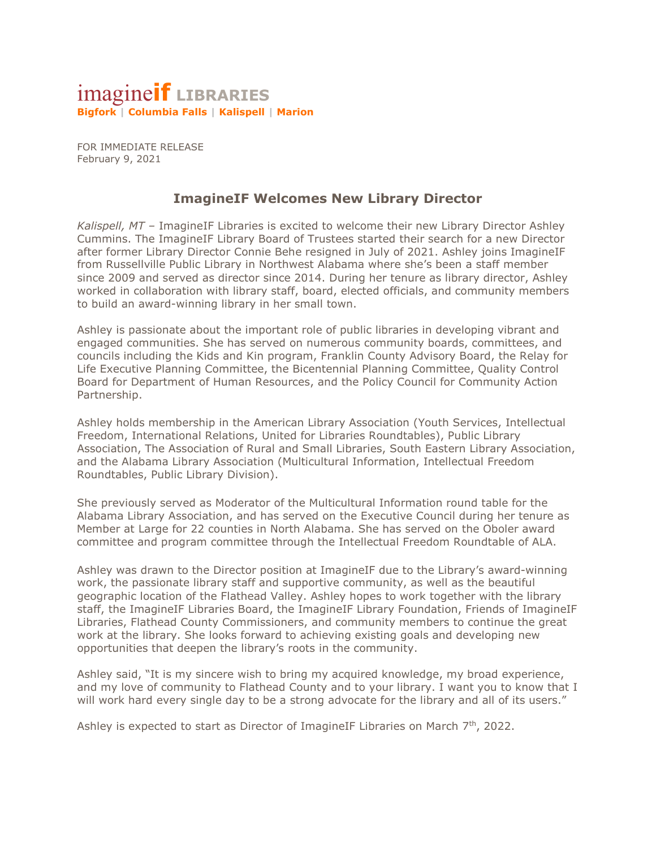## imagine**if LIBRARIES Bigfork | Columbia Falls | Kalispell | Marion**

FOR IMMEDIATE RELEASE February 9, 2021

## **ImagineIF Welcomes New Library Director**

*Kalispell, MT –* ImagineIF Libraries is excited to welcome their new Library Director Ashley Cummins. The ImagineIF Library Board of Trustees started their search for a new Director after former Library Director Connie Behe resigned in July of 2021. Ashley joins ImagineIF from Russellville Public Library in Northwest Alabama where she's been a staff member since 2009 and served as director since 2014. During her tenure as library director, Ashley worked in collaboration with library staff, board, elected officials, and community members to build an award-winning library in her small town.

Ashley is passionate about the important role of public libraries in developing vibrant and engaged communities. She has served on numerous community boards, committees, and councils including the Kids and Kin program, Franklin County Advisory Board, the Relay for Life Executive Planning Committee, the Bicentennial Planning Committee, Quality Control Board for Department of Human Resources, and the Policy Council for Community Action Partnership.

Ashley holds membership in the American Library Association (Youth Services, Intellectual Freedom, International Relations, United for Libraries Roundtables), Public Library Association, The Association of Rural and Small Libraries, South Eastern Library Association, and the Alabama Library Association (Multicultural Information, Intellectual Freedom Roundtables, Public Library Division).

She previously served as Moderator of the Multicultural Information round table for the Alabama Library Association, and has served on the Executive Council during her tenure as Member at Large for 22 counties in North Alabama. She has served on the Oboler award committee and program committee through the Intellectual Freedom Roundtable of ALA.

Ashley was drawn to the Director position at ImagineIF due to the Library's award-winning work, the passionate library staff and supportive community, as well as the beautiful geographic location of the Flathead Valley. Ashley hopes to work together with the library staff, the ImagineIF Libraries Board, the ImagineIF Library Foundation, Friends of ImagineIF Libraries, Flathead County Commissioners, and community members to continue the great work at the library. She looks forward to achieving existing goals and developing new opportunities that deepen the library's roots in the community.

Ashley said, "It is my sincere wish to bring my acquired knowledge, my broad experience, and my love of community to Flathead County and to your library. I want you to know that I will work hard every single day to be a strong advocate for the library and all of its users."

Ashley is expected to start as Director of ImagineIF Libraries on March  $7<sup>th</sup>$ , 2022.